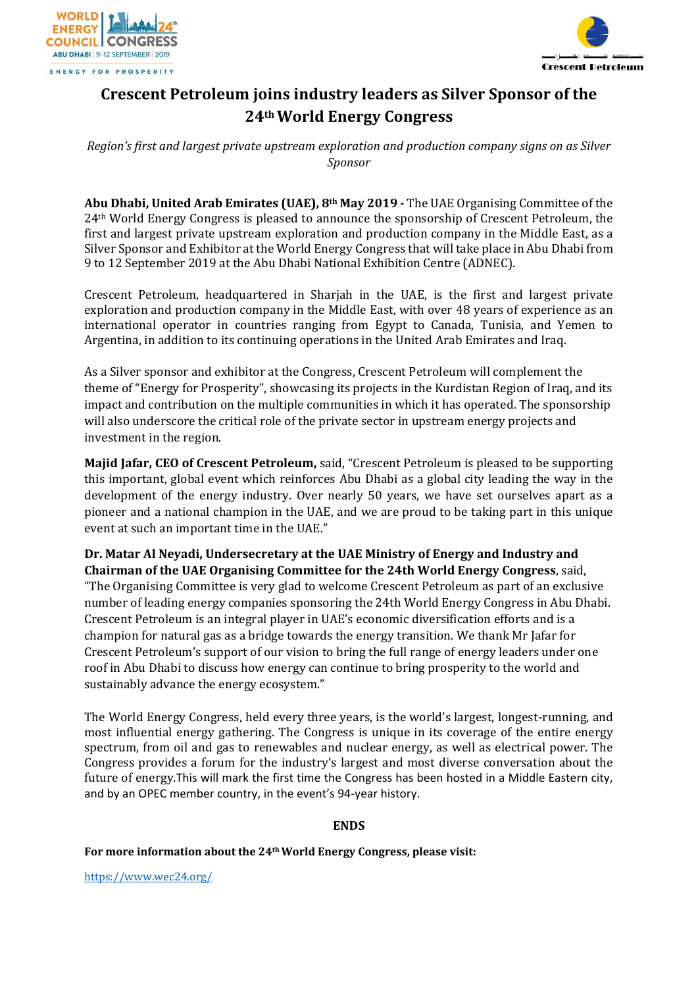



# **Crescent Petroleum joins industry leaders as Silver Sponsor of the 24th World Energy Congress**

*Region's first and largest private upstream exploration and production company signs on as Silver Sponsor*

**Abu Dhabi, United Arab Emirates (UAE), 8th May 2019 -** The UAE Organising Committee of the 24th World Energy Congress is pleased to announce the sponsorship of Crescent Petroleum, the first and largest private upstream exploration and production company in the Middle East, as a Silver Sponsor and Exhibitor at the World Energy Congress that will take place in Abu Dhabi from 9 to 12 September 2019 at the Abu Dhabi National Exhibition Centre (ADNEC).

Crescent Petroleum, headquartered in Sharjah in the UAE, is the first and largest private exploration and production company in the Middle East, with over 48 years of experience as an international operator in countries ranging from Egypt to Canada, Tunisia, and Yemen to Argentina, in addition to its continuing operations in the United Arab Emirates and Iraq.

As a Silver sponsor and exhibitor at the Congress, Crescent Petroleum will complement the theme of "Energy for Prosperity", showcasing its projects in the Kurdistan Region of Iraq, and its impact and contribution on the multiple communities in which it has operated. The sponsorship will also underscore the critical role of the private sector in upstream energy projects and investment in the region.

**Majid Jafar, CEO of Crescent Petroleum,** said, "Crescent Petroleum is pleased to be supporting this important, global event which reinforces Abu Dhabi as a global city leading the way in the development of the energy industry. Over nearly 50 years, we have set ourselves apart as a pioneer and a national champion in the UAE, and we are proud to be taking part in this unique event at such an important time in the UAE."

**Dr. Matar Al Neyadi, Undersecretary at the UAE Ministry of Energy and Industry and Chairman of the UAE Organising Committee for the 24th World Energy Congress**, said, "The Organising Committee is very glad to welcome Crescent Petroleum as part of an exclusive number of leading energy companies sponsoring the 24th World Energy Congress in Abu Dhabi. Crescent Petroleum is an integral player in UAE's economic diversification efforts and is a champion for natural gas as a bridge towards the energy transition. We thank Mr Jafar for Crescent Petroleum's support of our vision to bring the full range of energy leaders under one roof in Abu Dhabi to discuss how energy can continue to bring prosperity to the world and sustainably advance the energy ecosystem."

The World Energy Congress, held every three years, is the world's largest, longest-running, and most influential energy gathering. The Congress is unique in its coverage of the entire energy spectrum, from oil and gas to renewables and nuclear energy, as well as electrical power. The Congress provides a forum for the industry's largest and most diverse conversation about the future of energy.This will mark the first time the Congress has been hosted in a Middle Eastern city, and by an OPEC member country, in the event's 94-year history.

## **ENDS**

**For more information about the 24thWorld Energy Congress, please visit:**

<https://www.wec24.org/>